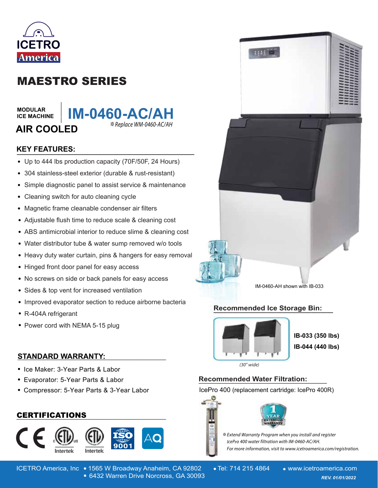

# MAESTRO SERIES

**MODULAR ICE MACHINE**

# **\_\_\_\_\_\_\_ AIR COOLED**



# **KEY FEATURES: \_\_\_\_\_\_\_\_\_\_\_\_\_\_\_\_\_\_\_\_\_\_\_\_\_\_\_\_\_\_**

- Up to 444 lbs production capacity (70F/50F, 24 Hours)
- 304 stainless-steel exterior (durable & rust-resistant)
- Simple diagnostic panel to assist service & maintenance  $\bullet$
- Cleaning switch for auto cleaning cycle  $\bullet$
- Magnetic frame cleanable condenser air filters  $\bullet$
- Adjustable flush time to reduce scale & cleaning cost
- ABS antimicrobial interior to reduce slime & cleaning cost
- Water distributor tube & water sump removed w/o tools
- Heavy duty water curtain, pins & hangers for easy removal
- Hinged front door panel for easy access
- No screws on side or back panels for easy access
- Sides & top vent for increased ventilation
- Improved evaporator section to reduce airborne bacteria
- R-404A refrigerant
- Power cord with NEMA 5-15 plug

### **STANDARD WARRANTY: \_\_\_\_\_\_\_\_\_\_\_\_\_\_\_\_\_\_\_\_\_\_\_\_\_\_\_\_\_\_\_\_\_\_\_\_\_\_\_\_**

- Ice Maker: 3-Year Parts & Labor
- Evaporator: 5-Year Parts & Labor
- Compressor: 5-Year Parts & 3-Year Labor

# **\_\_\_\_\_\_\_\_\_\_\_\_\_\_\_\_\_\_\_\_\_\_\_\_\_\_\_\_\_\_\_\_\_\_\_\_\_\_\_\_** CERTIFICATIONS





IM-0460-AH shown with IB-033

#### **Recommended Ice Storage Bin: \_\_\_\_\_\_\_\_\_\_\_\_\_\_\_\_\_\_\_\_\_\_\_\_\_\_\_\_\_\_\_\_\_\_\_\_\_\_**



**IB-033 (350 lbs) IB-044 (440 lbs)**

(30" wide)

# **Recommended Water Filtration: \_\_\_\_\_\_\_\_\_\_\_\_\_\_\_\_\_\_\_**

IcePro 400 (replacement cartridge: IcePro 400R)





 $\divideontimes$  Extend Warranty Program when you install and register lcePro 400 water filtration with IM-0460-AC/AH. For more information, visit to www.icetroamerica.com/registration.

ICETRO America, Inc • 1565 W Broadway Anaheim, CA 92802 • Tel: 714 215 4864 • www.icetroamerica.com 6432 Warren Drive Norcross, GA 30093 *REV. 01/01/2022* 6432 Warren Drive Norcross, GA 30093